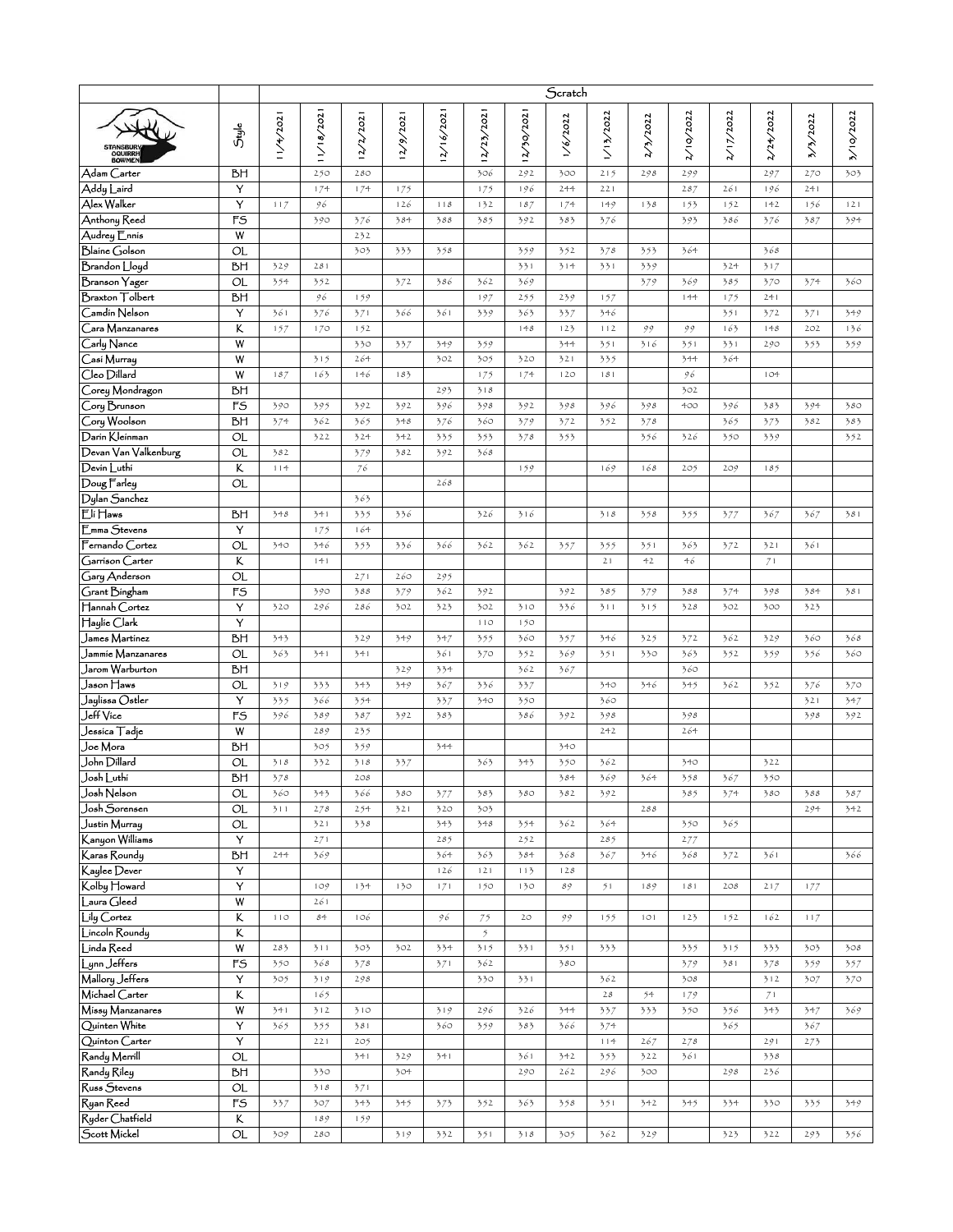|                                                         |                         | Scratch    |            |            |           |            |                      |            |            |            |          |           |           |           |            |            |
|---------------------------------------------------------|-------------------------|------------|------------|------------|-----------|------------|----------------------|------------|------------|------------|----------|-----------|-----------|-----------|------------|------------|
| <b>BOWME</b>                                            | Style                   | 11/4/2021  | 11/18/2021 | 12/2/2021  | 12/9/2021 | 2/16/2021  | 12/23/2021           | 12/30/202  | 1/6/2022   | 1/13/2022  | 2/3/2022 | 2/10/2022 | 2/17/2022 | 2/24/2022 | 3/3/2022   | 3/10/2022  |
| Adam Carter                                             | BН                      |            | 250        | 280        |           |            | 306                  | 292        | 300        | 215        | 298      | 299       |           | 297       | 270        | 303        |
| Addy Laird                                              | Y                       |            | 174        | 174        | 175       |            | 175                  | 196        | 244        | 221        |          | 287       | 261       | 196       | 241        |            |
| Alex Walker                                             | Y                       | 117        | 96         |            | 126       | 118        | 132                  | 187        | 174        | 149        | 138      | 153       | 152       | 142       | 156        | 121        |
| Anthony Reed                                            | FS                      |            | 390        | 376        | 384       | 388        | 385                  | 392        | 383        | 376        |          | 393       | 386       | 376       | 387        | 394        |
| Audrey Ennis                                            | $\overline{\mathsf{w}}$ |            |            | 232        |           |            |                      |            |            |            |          |           |           |           |            |            |
| <b>Blaine</b> Golson                                    | ОL                      |            |            | 303        | 333       | 358        |                      | 359        | 352        | 378        | 353      | 364       |           | 368       |            |            |
| Brandon Lloyd                                           | BН                      | 329        | 281        |            |           |            |                      | 331        | 314        | 331        | 339      |           | 324       | 317       |            |            |
| Branson Yager                                           | ОL                      | 354        | 352        |            | 372       | 386        | 362                  | 369        |            |            | 379      | 369       | 385       | 370       | 374        | 360        |
| <b>Braxton</b> Tolbert                                  | ВH                      |            | 96         | 159        |           |            | 197                  | 255        | 239        | 157        |          | 144       | 175       | 241       |            |            |
| Camdin Nelson                                           | Y                       | 361        | 376        | 371        | 366       | 361        | 339                  | 363        | 337        | 346        |          |           | 351       | 372       | 371        | 349        |
| Cara Manzanares                                         | K                       | 157        | 170        | 152        |           |            |                      | 148        | 123        | 112        | 99       | 99        | 163       | 148       | 202        | 136        |
| Carly Nance                                             | W                       |            |            | 330        | 337       | 349        | 359                  |            | 344        | 351        | 316      | 351       | 331       | 290       | 353        | 359        |
| Casi Murray<br>Cleo Dillard                             | W<br>W                  | 187        | 315<br>163 | 264<br>146 | 183       | 302        | 305                  | 320<br>174 | 321<br>120 | 335<br>181 |          | 344<br>96 | 364       | 104       |            |            |
| Corey Mondragon                                         | bН                      |            |            |            |           | 293        | 175<br>318           |            |            |            |          | 302       |           |           |            |            |
| Cory Brunson                                            | FS                      | 390        | 395        | 392        | 392       | 396        | 398                  | 392        | 398        | 396        | 398      | 400       | 396       | 383       | 394        | 380        |
| Cory Woolson                                            | BН                      | 374        | 362        | 365        | 348       | 376        | 360                  | 379        | 372        | 352        | 378      |           | 365       | 373       | 382        | 383        |
| Darin Kleinman                                          | ОL                      |            | 322        | 324        | 342       | 335        | 353                  | 378        | 353        |            | 356      | 326       | 350       | 339       |            | 352        |
| Devan Van Valkenburg                                    | OL                      | 382        |            | 379        | 382       | 392        | 368                  |            |            |            |          |           |           |           |            |            |
| Devin Luthi                                             | Κ                       | 114        |            | 76         |           |            |                      | 159        |            | 169        | 168      | 205       | 209       | 185       |            |            |
| $\overline{\mathrm{Doug}$ $\overline{\mathrm{F}}$ arley | ΟL                      |            |            |            |           | 268        |                      |            |            |            |          |           |           |           |            |            |
| Dylan Sanchez                                           |                         |            |            | 363        |           |            |                      |            |            |            |          |           |           |           |            |            |
| Eli Haws                                                | BН                      | 348        | 341        | 335        | 336       |            | 326                  | 316        |            | 318        | 358      | 355       | 377       | 367       | 367        | 381        |
| Emma Stevens                                            | Y                       |            | 175        | 164        |           |            |                      |            |            |            |          |           |           |           |            |            |
| Fernando Cortez                                         | ОL                      | 340        | 346        | 353        | 336       | 366        | 362                  | 362        | 357        | 355        | 351      | 363       | 372       | 321       | 361        |            |
| Garrison Carter                                         | Κ                       |            | 141        |            |           |            |                      |            |            | 21         | 42       | 46        |           | 71        |            |            |
| Gary Anderson                                           | $\overline{\alpha}$     |            |            | 271        | 260       | 295        |                      |            |            |            |          |           |           |           |            |            |
| Grant Bingham                                           | F <sub>S</sub>          |            | 390        | 388        | 379       | 362        | 392                  |            | 392        | 385        | 379      | 388       | 374       | 398       | 384        | 381        |
| Hannah Cortez                                           | Y                       | 320        | 296        | 286        | 302       | 323        | 302                  | 310        | 336        | 311        | 315      | 328       | 302       | 300       | 323        |            |
| Haylie Clark                                            | Y                       |            |            |            |           |            | 110                  | 150        |            |            |          |           |           |           |            |            |
| James Martinez                                          | ЪH                      | 343        |            | 329        | 349       | 347        | 355                  | 360        | 357        | 346        | 325      | 372       | 362       | 329       | 360        | 368        |
| Jammie Manzanares                                       | ОL                      | 363        | 341        | 341        |           | 361        | 370                  | 352<br>362 | 369        | 351        | 330      | 363       | 352       | 359       | 356        | 360        |
| Jarom Warburton<br>Jason ∏aws                           | BН<br>ОL                |            |            |            | 329       | 334<br>367 |                      |            | 367        | 340        |          | 360       | 362       |           |            |            |
| Jaylissa Ostler                                         | Y                       | 319<br>335 | 333<br>366 | 343<br>354 | 349       | 337        | 336<br>340           | 337<br>350 |            | 360        | 346      | 345       |           | 352       | 376<br>321 | 370<br>347 |
| Jeff Vice                                               | $\overline{rs}$         | 396        | 389        | 387        | 392       | 383        |                      | 386        | 392        | 398        |          | 398       |           |           | 398        | 392        |
| Jessica Tadje                                           | W                       |            | 289        | 235        |           |            |                      |            |            | 242        |          | 264       |           |           |            |            |
| Joe Mora                                                | bН                      |            | 305        | 359        |           | 344        |                      |            | 340        |            |          |           |           |           |            |            |
| John Dillard                                            | $\overline{\Omega}$     | 318        | 332        | 318        | 337       |            | 363                  | 343        | 350        | 362        |          | 340       |           | 322       |            |            |
| Josh Luthi                                              | BН                      | 378        |            | 208        |           |            |                      |            | 384        | 369        | 364      | 358       | 367       | 350       |            |            |
| Josh Nelson                                             | 0L                      | 360        | 343        | 366        | 380       | 377        | 383                  | 380        | 382        | 392        |          | 385       | 374       | 380       | 388        | 387        |
| Josh Sorensen                                           | OL                      | 311        | 278        | 254        | 321       | 320        | 303                  |            |            |            | 288      |           |           |           | 294        | 342        |
| Justín Murray                                           | <b>OL</b>               |            | 321        | 338        |           | 343        | 348                  | 354        | 362        | 364        |          | 350       | 365       |           |            |            |
| Kanyon Williams                                         | Υ                       |            | 271        |            |           | 285        |                      | 252        |            | 285        |          | 277       |           |           |            |            |
| Karas Roundy                                            | ЪH                      | 244        | 369        |            |           | 364        | 363                  | 384        | 368        | 367        | 346      | 368       | 372       | 361       |            | 366        |
| Kaylee Dever                                            | Y                       |            |            |            |           | 126        | 121                  | 113        | 128        |            |          |           |           |           |            |            |
| Kolby Howard                                            | Y                       |            | 109        | 134        | 130       | 171        | 150                  | 130        | 89         | 51         | 189      | i8i       | 208       | 217       | 177        |            |
| Laura Gleed<br>Lily Cortez                              | W<br>ĸ                  | 110        | 261<br>84  | 106        |           | 96         |                      | 20         |            | 155        | 101      | 123       | 152       | 162       | 117        |            |
| Lincoln Roundy                                          | K                       |            |            |            |           |            | 75<br>$\mathfrak{H}$ |            | 99         |            |          |           |           |           |            |            |
| Linda Reed                                              | W                       | 283        | 311        | 303        | 302       | 334        | 315                  | 331        | 351        | 333        |          | 335       | 315       | 333       | 303        | 308        |
| Lynn Jeffers                                            | F <sub>5</sub>          | 350        | 368        | 378        |           | 371        | 362                  |            | 380        |            |          | 379       | 381       | 378       | 359        | 357        |
| Mallory Jeffers                                         | Υ                       | 305        | 319        | 298        |           |            | 330                  | 331        |            | 362        |          | 308       |           | 312       | 307        | 370        |
| Michael Carter                                          | K                       |            | 165        |            |           |            |                      |            |            | $2\,8$     | 54       | 179       |           | 71        |            |            |
| Missy Manzanares                                        | W                       | 341        | 312        | 310        |           | 319        | 296                  | 326        | 344        | 337        | 333      | 350       | 356       | 343       | 347        | 369        |
| Quinten White                                           | Υ                       | 365        | 355        | 381        |           | 360        | 359                  | 383        | 366        | 374        |          |           | 365       |           | 367        |            |
| Quinton Carter                                          | Υ                       |            | 221        | 205        |           |            |                      |            |            | 114        | 267      | 278       |           | 291       | 273        |            |
| Randy Merrill                                           | $\overline{a}$          |            |            | 341        | 329       | 341        |                      | 361        | 342        | 353        | 322      | 361       |           | 338       |            |            |
| Randy Ríley                                             | ЪH                      |            | 330        |            | 304       |            |                      | 290        | 262        | 296        | 300      |           | 298       | 236       |            |            |
| Russ Stevens                                            | OL                      |            | 318        | 371        |           |            |                      |            |            |            |          |           |           |           |            |            |
| Ryan Reed                                               | $\overline{rs}$         | 337        | 307        | 343        | 345       | 373        | 352                  | 363        | 358        | 351        | 342      | 345       | 334       | 330       | 335        | 349        |
| Ryder Chatfield                                         | K                       |            | 189        | 159        |           |            |                      |            |            |            |          |           |           |           |            |            |
| Scott Mickel                                            | OL                      | 309        | 280        |            | 319       | 332        | 351                  | 318        | 305        | 362        | 329      |           | 323       | 322       | 293        | 356        |